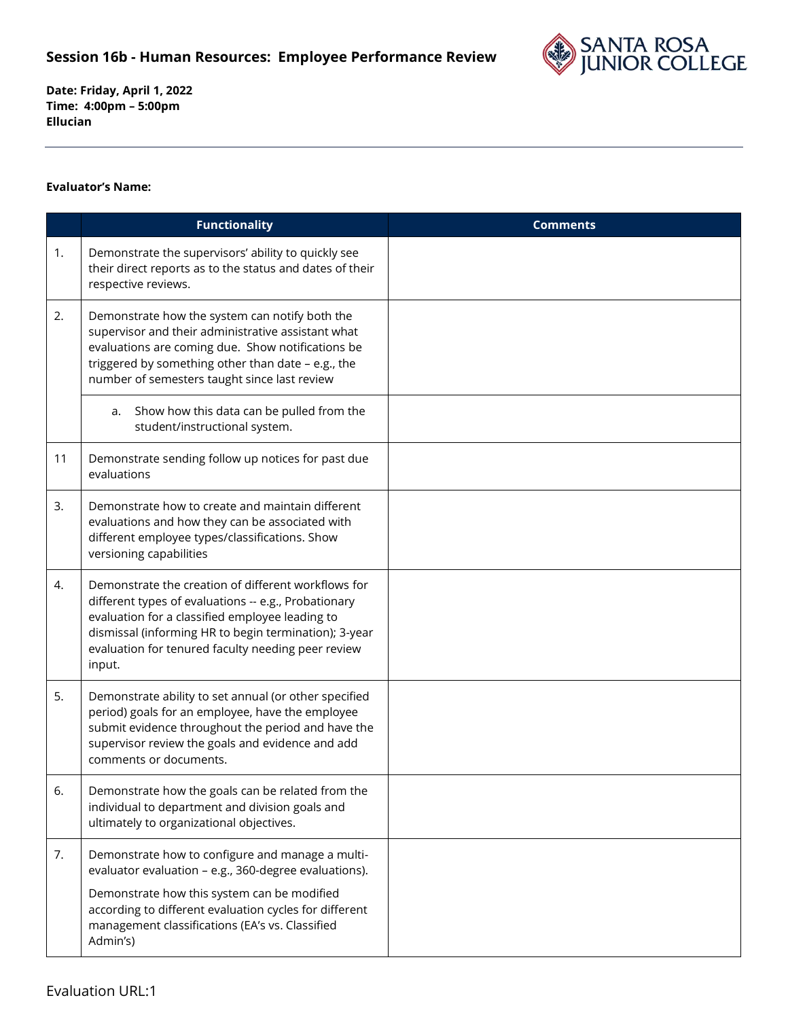## **Session 16b - Human Resources: Employee Performance Review**



**Date: Friday, April 1, 2022 Time: 4:00pm – 5:00pm Ellucian** 

## **Evaluator's Name:**

|    | <b>Functionality</b>                                                                                                                                                                                                                                                                    | <b>Comments</b> |
|----|-----------------------------------------------------------------------------------------------------------------------------------------------------------------------------------------------------------------------------------------------------------------------------------------|-----------------|
| 1. | Demonstrate the supervisors' ability to quickly see<br>their direct reports as to the status and dates of their<br>respective reviews.                                                                                                                                                  |                 |
| 2. | Demonstrate how the system can notify both the<br>supervisor and their administrative assistant what<br>evaluations are coming due. Show notifications be<br>triggered by something other than date - e.g., the<br>number of semesters taught since last review                         |                 |
|    | Show how this data can be pulled from the<br>a.<br>student/instructional system.                                                                                                                                                                                                        |                 |
| 11 | Demonstrate sending follow up notices for past due<br>evaluations                                                                                                                                                                                                                       |                 |
| 3. | Demonstrate how to create and maintain different<br>evaluations and how they can be associated with<br>different employee types/classifications. Show<br>versioning capabilities                                                                                                        |                 |
| 4. | Demonstrate the creation of different workflows for<br>different types of evaluations -- e.g., Probationary<br>evaluation for a classified employee leading to<br>dismissal (informing HR to begin termination); 3-year<br>evaluation for tenured faculty needing peer review<br>input. |                 |
| 5. | Demonstrate ability to set annual (or other specified<br>period) goals for an employee, have the employee<br>submit evidence throughout the period and have the<br>supervisor review the goals and evidence and add<br>comments or documents.                                           |                 |
| 6. | Demonstrate how the goals can be related from the<br>individual to department and division goals and<br>ultimately to organizational objectives.                                                                                                                                        |                 |
| 7. | Demonstrate how to configure and manage a multi-<br>evaluator evaluation - e.g., 360-degree evaluations).<br>Demonstrate how this system can be modified<br>according to different evaluation cycles for different<br>management classifications (EA's vs. Classified<br>Admin's)       |                 |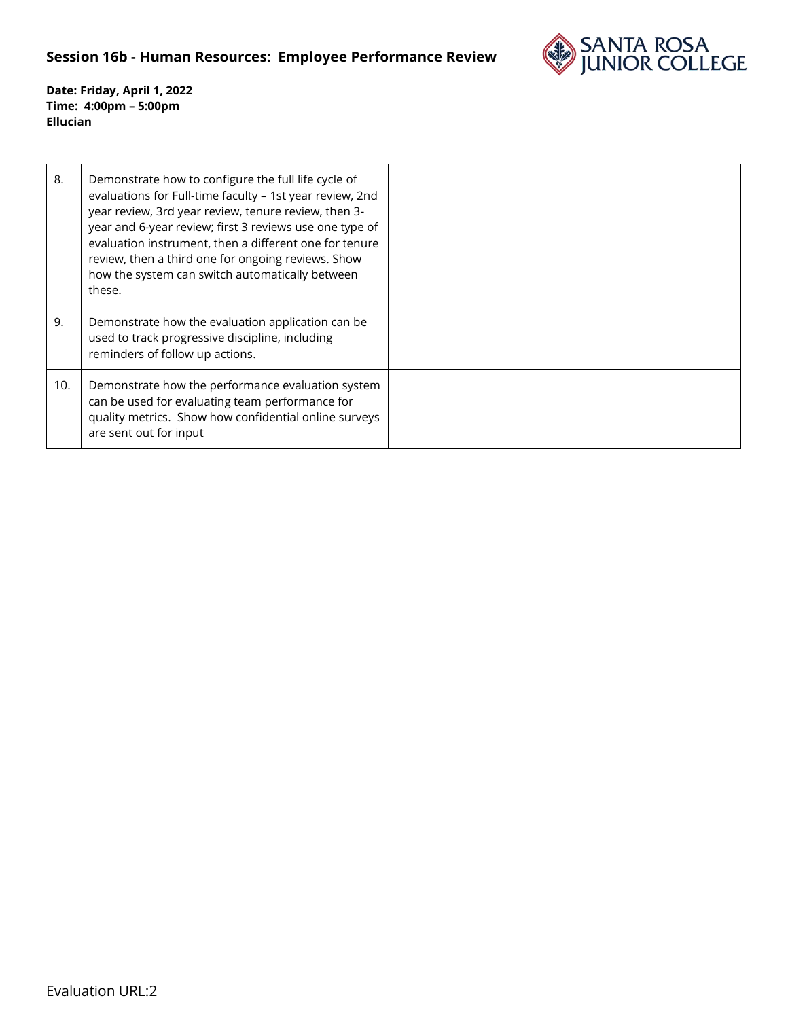## **Session 16b - Human Resources: Employee Performance Review**



**Date: Friday, April 1, 2022 Time: 4:00pm – 5:00pm Ellucian** 

| 8.  | Demonstrate how to configure the full life cycle of<br>evaluations for Full-time faculty - 1st year review, 2nd<br>year review, 3rd year review, tenure review, then 3-<br>year and 6-year review; first 3 reviews use one type of<br>evaluation instrument, then a different one for tenure<br>review, then a third one for ongoing reviews. Show<br>how the system can switch automatically between<br>these. |  |
|-----|-----------------------------------------------------------------------------------------------------------------------------------------------------------------------------------------------------------------------------------------------------------------------------------------------------------------------------------------------------------------------------------------------------------------|--|
| 9.  | Demonstrate how the evaluation application can be<br>used to track progressive discipline, including<br>reminders of follow up actions.                                                                                                                                                                                                                                                                         |  |
| 10. | Demonstrate how the performance evaluation system<br>can be used for evaluating team performance for<br>quality metrics. Show how confidential online surveys<br>are sent out for input                                                                                                                                                                                                                         |  |